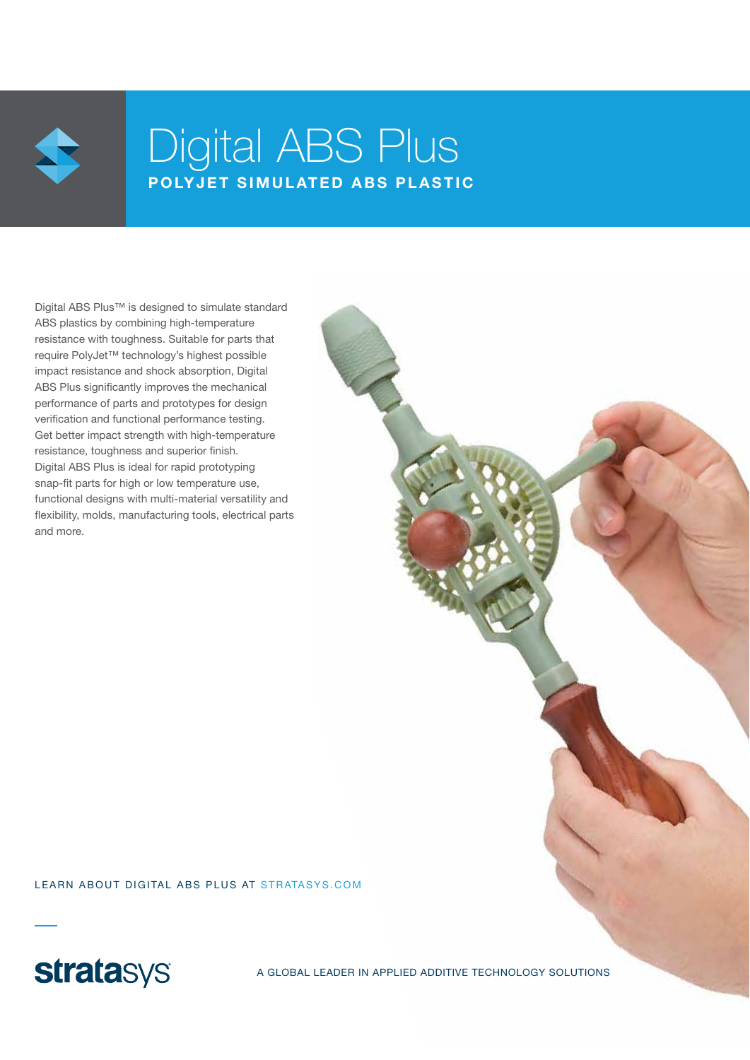

# Digital ABS Plus POLYJET SIMULATED ABS PLASTIC

Digital ABS Plus™ is designed to simulate standard ABS plastics by combining high-temperature resistance with toughness. Suitable for parts that require PolyJet™ technology's highest possible impact resistance and shock absorption, Digital ABS Plus significantly improves the mechanical performance of parts and prototypes for design verification and functional performance testing. Get better impact strength with high-temperature resistance, toughness and superior finish. Digital ABS Plus is ideal for rapid prototyping snap-fit parts for high or low temperature use, functional designs with multi-material versatility and flexibility, molds, manufacturing tools, electrical parts and more.

LEARN ABOUT DIGITAL ABS PLUS AT STRATASYS.COM



A GLOBAL LEADER IN APPLIED ADDITIVE TECHNOLOGY SOLUTIONS